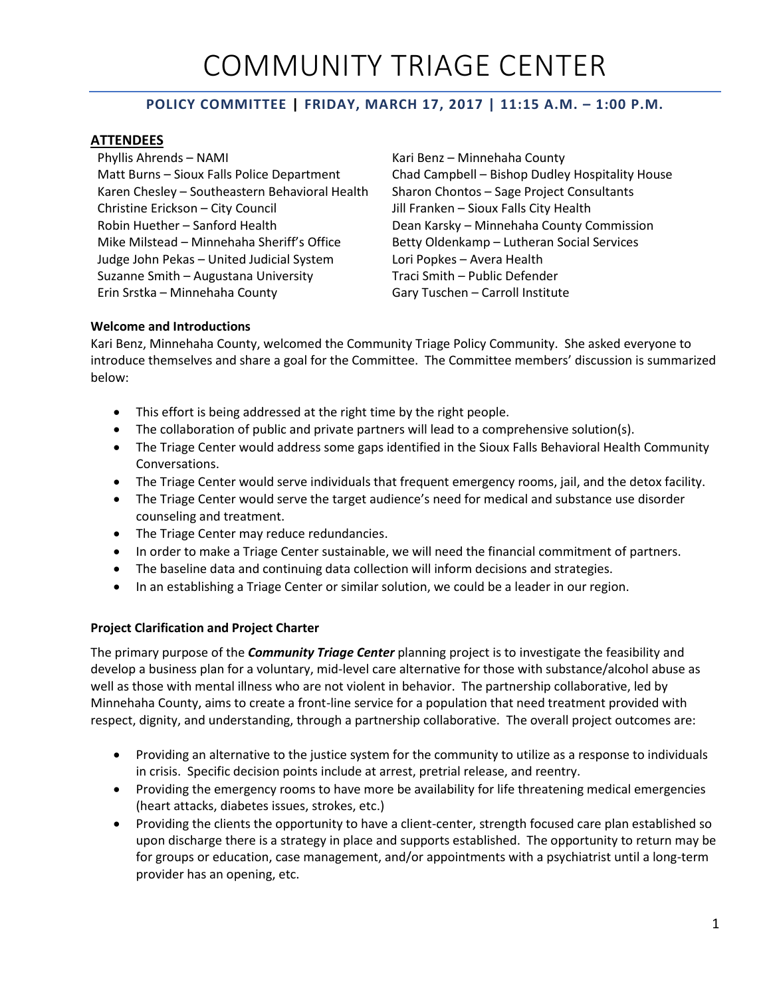# COMMUNITY TRIAGE CENTER

## **POLICY COMMITTEE | FRIDAY, MARCH 17, 2017 | 11:15 A.M. – 1:00 P.M.**

## **ATTENDEES**

Phyllis Ahrends – NAMI Kari Benz – Minnehaha County Karen Chesley – Southeastern Behavioral Health Sharon Chontos – Sage Project Consultants Christine Erickson – City Council Jill Franken – Sioux Falls City Health Robin Huether – Sanford Health **Dean Karsky – Minnehaha County Commission** Mike Milstead – Minnehaha Sheriff's Office Betty Oldenkamp – Lutheran Social Services Judge John Pekas – United Judicial System Lori Popkes – Avera Health Suzanne Smith – Augustana University Traci Smith – Public Defender Erin Srstka – Minnehaha County Gary Tuschen – Carroll Institute

Matt Burns – Sioux Falls Police Department Chad Campbell – Bishop Dudley Hospitality House

#### **Welcome and Introductions**

Kari Benz, Minnehaha County, welcomed the Community Triage Policy Community. She asked everyone to introduce themselves and share a goal for the Committee. The Committee members' discussion is summarized below:

- This effort is being addressed at the right time by the right people.
- The collaboration of public and private partners will lead to a comprehensive solution(s).
- The Triage Center would address some gaps identified in the Sioux Falls Behavioral Health Community Conversations.
- The Triage Center would serve individuals that frequent emergency rooms, jail, and the detox facility.
- The Triage Center would serve the target audience's need for medical and substance use disorder counseling and treatment.
- The Triage Center may reduce redundancies.
- In order to make a Triage Center sustainable, we will need the financial commitment of partners.
- The baseline data and continuing data collection will inform decisions and strategies.
- In an establishing a Triage Center or similar solution, we could be a leader in our region.

## **Project Clarification and Project Charter**

The primary purpose of the *Community Triage Center* planning project is to investigate the feasibility and develop a business plan for a voluntary, mid-level care alternative for those with substance/alcohol abuse as well as those with mental illness who are not violent in behavior. The partnership collaborative, led by Minnehaha County, aims to create a front-line service for a population that need treatment provided with respect, dignity, and understanding, through a partnership collaborative. The overall project outcomes are:

- Providing an alternative to the justice system for the community to utilize as a response to individuals in crisis. Specific decision points include at arrest, pretrial release, and reentry.
- Providing the emergency rooms to have more be availability for life threatening medical emergencies (heart attacks, diabetes issues, strokes, etc.)
- Providing the clients the opportunity to have a client-center, strength focused care plan established so upon discharge there is a strategy in place and supports established. The opportunity to return may be for groups or education, case management, and/or appointments with a psychiatrist until a long-term provider has an opening, etc.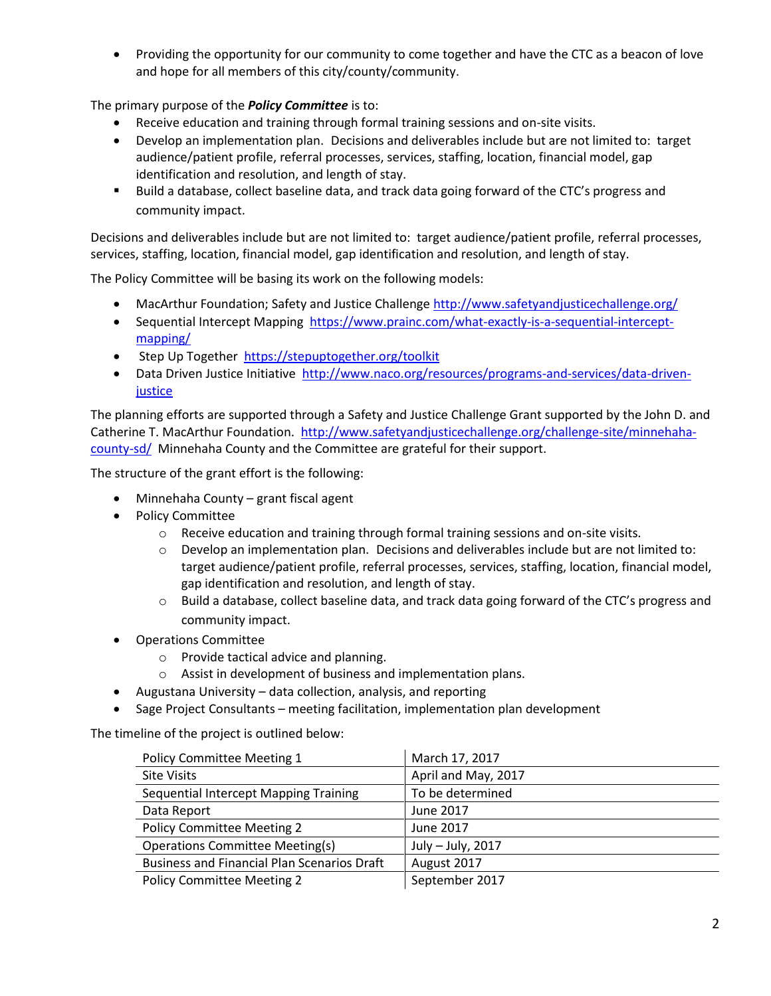Providing the opportunity for our community to come together and have the CTC as a beacon of love and hope for all members of this city/county/community.

The primary purpose of the *Policy Committee* is to:

- Receive education and training through formal training sessions and on-site visits.
- Develop an implementation plan. Decisions and deliverables include but are not limited to: target audience/patient profile, referral processes, services, staffing, location, financial model, gap identification and resolution, and length of stay.
- Build a database, collect baseline data, and track data going forward of the CTC's progress and community impact.

Decisions and deliverables include but are not limited to: target audience/patient profile, referral processes, services, staffing, location, financial model, gap identification and resolution, and length of stay.

The Policy Committee will be basing its work on the following models:

- MacArthur Foundation; Safety and Justice Challenge<http://www.safetyandjusticechallenge.org/>
- Sequential Intercept Mapping [https://www.prainc.com/what-exactly-is-a-sequential-intercept](https://www.prainc.com/what-exactly-is-a-sequential-intercept-mapping/)[mapping/](https://www.prainc.com/what-exactly-is-a-sequential-intercept-mapping/)
- Step Up Together <https://stepuptogether.org/toolkit>
- Data Driven Justice Initiative [http://www.naco.org/resources/programs-and-services/data-driven](http://www.naco.org/resources/programs-and-services/data-driven-justice)**[justice](http://www.naco.org/resources/programs-and-services/data-driven-justice)**

The planning efforts are supported through a Safety and Justice Challenge Grant supported by the John D. and Catherine T. MacArthur Foundation. [http://www.safetyandjusticechallenge.org/challenge-site/minnehaha](http://www.safetyandjusticechallenge.org/challenge-site/minnehaha-county-sd/)[county-sd/](http://www.safetyandjusticechallenge.org/challenge-site/minnehaha-county-sd/) Minnehaha County and the Committee are grateful for their support.

The structure of the grant effort is the following:

- Minnehaha County grant fiscal agent
- Policy Committee
	- $\circ$  Receive education and training through formal training sessions and on-site visits.
	- $\circ$  Develop an implementation plan. Decisions and deliverables include but are not limited to: target audience/patient profile, referral processes, services, staffing, location, financial model, gap identification and resolution, and length of stay.
	- o Build a database, collect baseline data, and track data going forward of the CTC's progress and community impact.
- Operations Committee
	- o Provide tactical advice and planning.
	- o Assist in development of business and implementation plans.
- Augustana University data collection, analysis, and reporting
- Sage Project Consultants meeting facilitation, implementation plan development

The timeline of the project is outlined below:

| Policy Committee Meeting 1                         | March 17, 2017      |
|----------------------------------------------------|---------------------|
| <b>Site Visits</b>                                 | April and May, 2017 |
| Sequential Intercept Mapping Training              | To be determined    |
| Data Report                                        | June 2017           |
| <b>Policy Committee Meeting 2</b>                  | June 2017           |
| <b>Operations Committee Meeting(s)</b>             | July - July, 2017   |
| <b>Business and Financial Plan Scenarios Draft</b> | August 2017         |
| <b>Policy Committee Meeting 2</b>                  | September 2017      |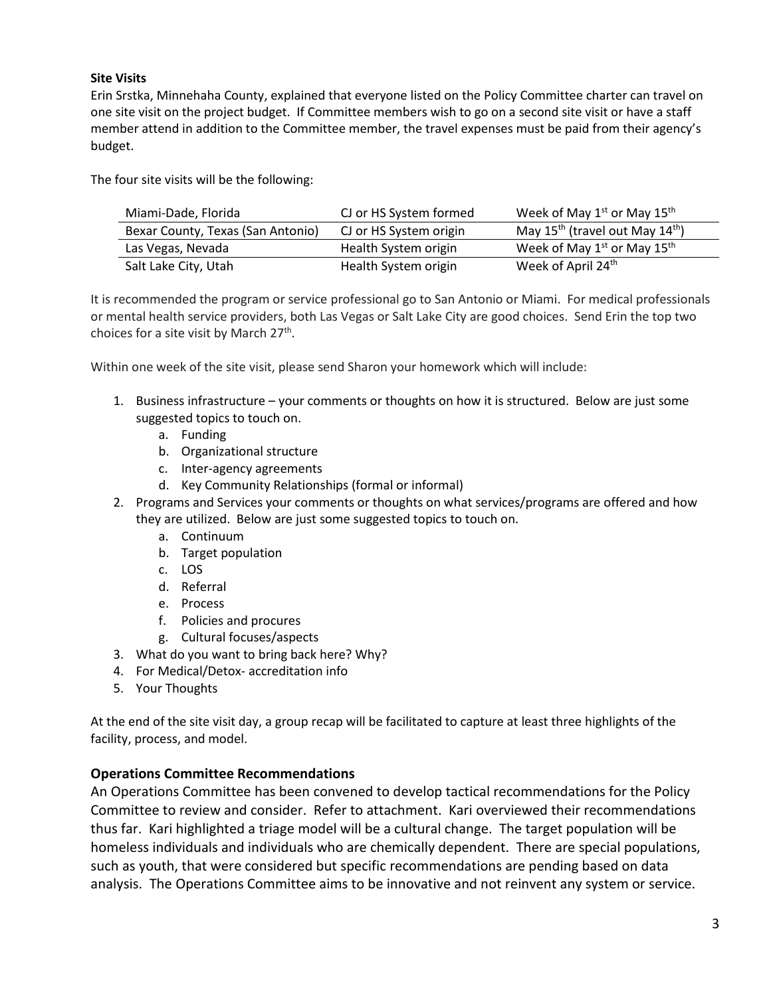## **Site Visits**

Erin Srstka, Minnehaha County, explained that everyone listed on the Policy Committee charter can travel on one site visit on the project budget. If Committee members wish to go on a second site visit or have a staff member attend in addition to the Committee member, the travel expenses must be paid from their agency's budget.

The four site visits will be the following:

| Miami-Dade, Florida               | CJ or HS System formed | Week of May $1^{st}$ or May $15^{th}$               |
|-----------------------------------|------------------------|-----------------------------------------------------|
| Bexar County, Texas (San Antonio) | CJ or HS System origin | May $15^{th}$ (travel out May $14^{th}$ )           |
| Las Vegas, Nevada                 | Health System origin   | Week of May 1 <sup>st</sup> or May 15 <sup>th</sup> |
| Salt Lake City, Utah              | Health System origin   | Week of April 24th                                  |

It is recommended the program or service professional go to San Antonio or Miami. For medical professionals or mental health service providers, both Las Vegas or Salt Lake City are good choices. Send Erin the top two choices for a site visit by March 27<sup>th</sup>.

Within one week of the site visit, please send Sharon your homework which will include:

- 1. Business infrastructure your comments or thoughts on how it is structured. Below are just some suggested topics to touch on.
	- a. Funding
	- b. Organizational structure
	- c. Inter-agency agreements
	- d. Key Community Relationships (formal or informal)
- 2. Programs and Services your comments or thoughts on what services/programs are offered and how they are utilized. Below are just some suggested topics to touch on.
	- a. Continuum
	- b. Target population
	- c. LOS
	- d. Referral
	- e. Process
	- f. Policies and procures
	- g. Cultural focuses/aspects
- 3. What do you want to bring back here? Why?
- 4. For Medical/Detox- accreditation info
- 5. Your Thoughts

At the end of the site visit day, a group recap will be facilitated to capture at least three highlights of the facility, process, and model.

## **Operations Committee Recommendations**

An Operations Committee has been convened to develop tactical recommendations for the Policy Committee to review and consider. Refer to attachment. Kari overviewed their recommendations thus far. Kari highlighted a triage model will be a cultural change. The target population will be homeless individuals and individuals who are chemically dependent. There are special populations, such as youth, that were considered but specific recommendations are pending based on data analysis. The Operations Committee aims to be innovative and not reinvent any system or service.